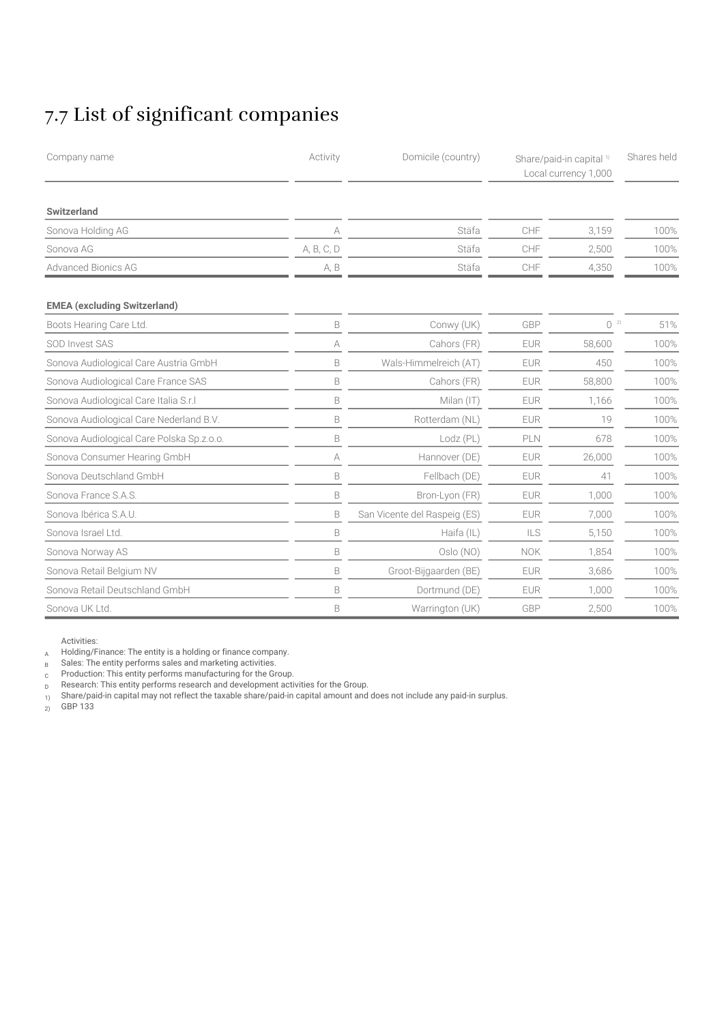## 7.7 List of significant companies

| Company name                              | Activity    | Domicile (country)           |            | Share/paid-in capital <sup>1)</sup><br>Local currency 1,000 |      |
|-------------------------------------------|-------------|------------------------------|------------|-------------------------------------------------------------|------|
| Switzerland                               |             |                              |            |                                                             |      |
| Sonova Holding AG                         | А           | Stäfa                        | CHF        | 3,159                                                       | 100% |
| Sonova AG                                 | A, B, C, D  | Stäfa                        | CHF        | 2,500                                                       | 100% |
| <b>Advanced Bionics AG</b>                | A, B        | Stäfa                        | CHF        | 4,350                                                       | 100% |
| <b>EMEA</b> (excluding Switzerland)       |             |                              |            |                                                             |      |
| Boots Hearing Care Ltd.                   | B           | Conwy (UK)                   | GBP        | 0 <sup>2</sup>                                              | 51%  |
| SOD Invest SAS                            | А           | Cahors (FR)                  | <b>EUR</b> | 58,600                                                      | 100% |
| Sonova Audiological Care Austria GmbH     | B           | Wals-Himmelreich (AT)        | <b>EUR</b> | 450                                                         | 100% |
| Sonova Audiological Care France SAS       | B           | Cahors (FR)                  | <b>EUR</b> | 58,800                                                      | 100% |
| Sonova Audiological Care Italia S.r.I     | $\mathsf B$ | Milan (IT)                   | <b>EUR</b> | 1,166                                                       | 100% |
| Sonova Audiological Care Nederland B.V.   | B           | Rotterdam (NL)               | <b>EUR</b> | 19                                                          | 100% |
| Sonova Audiological Care Polska Sp.z.o.o. | B           | Lodz (PL)                    | PLN        | 678                                                         | 100% |
| Sonova Consumer Hearing GmbH              | А           | Hannover (DE)                | <b>EUR</b> | 26,000                                                      | 100% |
| Sonova Deutschland GmbH                   | B           | Fellbach (DE)                | <b>EUR</b> | 41                                                          | 100% |
| Sonova France S.A.S.                      | B           | Bron-Lyon (FR)               | <b>EUR</b> | 1,000                                                       | 100% |
| Sonova Ibérica S.A.U.                     | B           | San Vicente del Raspeig (ES) | <b>EUR</b> | 7,000                                                       | 100% |
| Sonova Israel Ltd.                        | B           | Haifa (IL)                   | ILS        | 5,150                                                       | 100% |
| Sonova Norway AS                          | B           | Oslo (NO)                    | <b>NOK</b> | 1,854                                                       | 100% |
| Sonova Retail Belgium NV                  | B           | Groot-Bijgaarden (BE)        | <b>EUR</b> | 3,686                                                       | 100% |
| Sonova Retail Deutschland GmbH            | B           | Dortmund (DE)                | <b>EUR</b> | 1,000                                                       | 100% |
| Sonova UK Ltd.                            | B           | Warrington (UK)              | GBP        | 2,500                                                       | 100% |

Activities:

A Holding/Finance: The entity is a holding or finance company.

B Sales: The entity performs sales and marketing activities.

<sup>C</sup> Production: This entity performs manufacturing for the Group.

D Research: This entity performs research and development activities for the Group.

1) Share/paid-in capital may not reflect the taxable share/paid-in capital amount and does not include any paid-in surplus.

 $2)$  GBP 133